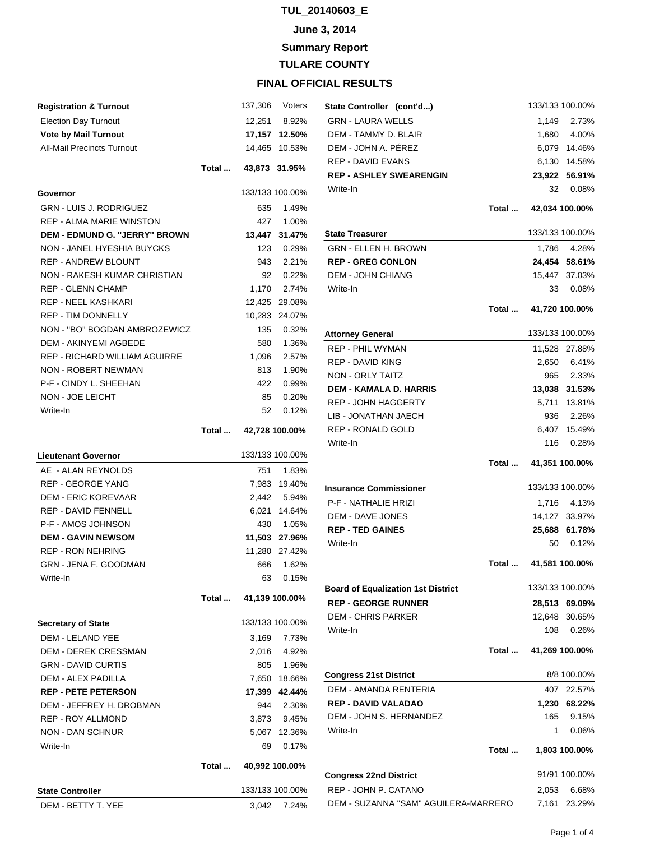# **June 3, 2014**

**Summary Report**

**TULARE COUNTY**

| <b>Registration &amp; Turnout</b>                        |       | 137,306        | Voters          |
|----------------------------------------------------------|-------|----------------|-----------------|
| <b>Election Day Turnout</b>                              |       | 12,251         | 8.92%           |
| <b>Vote by Mail Turnout</b>                              |       | 17,157         | 12.50%          |
| <b>All-Mail Precincts Turnout</b>                        |       | 14,465         | 10.53%          |
|                                                          | Total |                | 43,873 31.95%   |
| Governor                                                 |       |                | 133/133 100.00% |
| <b>GRN - LUIS J. RODRIGUEZ</b>                           |       | 635            | 1.49%           |
| <b>REP - ALMA MARIE WINSTON</b>                          |       | 427            | 1.00%           |
| DEM - EDMUND G. "JERRY" BROWN                            |       | 13,447         | 31.47%          |
| NON - JANEL HYESHIA BUYCKS                               |       | 123            | 0.29%           |
| <b>REP - ANDREW BLOUNT</b>                               |       | 943            | 2.21%           |
| NON - RAKESH KUMAR CHRISTIAN                             |       | 92             | 0.22%           |
| <b>REP - GLENN CHAMP</b>                                 |       | 1,170          | 2.74%           |
| <b>REP - NEEL KASHKARI</b>                               |       | 12,425         | 29.08%          |
| <b>REP - TIM DONNELLY</b>                                |       | 10,283         | 24.07%          |
| NON - "BO" BOGDAN AMBROZEWICZ                            |       | 135            | 0.32%           |
| <b>DEM - AKINYEMI AGBEDE</b>                             |       | 580            | 1.36%           |
| <b>REP - RICHARD WILLIAM AGUIRRE</b>                     |       | 1,096          | 2.57%           |
| <b>NON - ROBERT NEWMAN</b>                               |       | 813            | 1.90%           |
| P-F - CINDY L. SHEEHAN                                   |       | 422            | 0.99%           |
| NON - JOE LEICHT                                         |       | 85             | 0.20%           |
| Write-In                                                 |       | 52             | 0.12%           |
|                                                          | Total |                | 42,728 100.00%  |
|                                                          |       |                | 133/133 100.00% |
| <b>Lieutenant Governor</b>                               |       |                |                 |
| AE - ALAN REYNOLDS                                       |       | 751            | 1.83%           |
| <b>REP - GEORGE YANG</b>                                 |       | 7,983          | 19.40%          |
| <b>DEM - ERIC KOREVAAR</b><br><b>REP - DAVID FENNELL</b> |       | 2,442          | 5.94%           |
| P-F - AMOS JOHNSON                                       |       | 6,021          | 14.64%          |
|                                                          |       | 430            | 1.05%           |
| <b>DEM - GAVIN NEWSOM</b>                                |       |                | 11,503 27.96%   |
| <b>REP - RON NEHRING</b>                                 |       | 11,280         | 27.42%          |
| GRN - JENA F. GOODMAN<br>Write-In                        |       | 666            | 1.62%           |
|                                                          |       | 63             | 0.15%           |
|                                                          | Total | 41,139 100.00% |                 |
| <b>Secretary of State</b>                                |       |                | 133/133 100.00% |
| <b>DEM - LELAND YEE</b>                                  |       | 3,169          | 7.73%           |
| <b>DEM - DEREK CRESSMAN</b>                              |       | 2,016          | 4.92%           |
| <b>GRN - DAVID CURTIS</b>                                |       | 805            | 1.96%           |
| <b>DEM - ALEX PADILLA</b>                                |       |                | 7,650 18.66%    |
| <b>REP - PETE PETERSON</b>                               |       |                | 17,399 42.44%   |
| DEM - JEFFREY H. DROBMAN                                 |       | 944            | 2.30%           |
| <b>REP - ROY ALLMOND</b>                                 |       | 3,873          | 9.45%           |
| <b>NON - DAN SCHNUR</b>                                  |       | 5,067          | 12.36%          |
| Write-In                                                 |       | 69             | 0.17%           |
|                                                          | Total |                | 40,992 100.00%  |
|                                                          |       |                |                 |
| <b>State Controller</b>                                  |       |                | 133/133 100.00% |
| DEM - BETTY T. YEE                                       |       | 3,042          | 7.24%           |

| State Controller (cont'd)                                    |       | 133/133 100.00%       |                            |
|--------------------------------------------------------------|-------|-----------------------|----------------------------|
| <b>GRN - LAURA WELLS</b>                                     |       |                       | 1,149 2.73%                |
| DEM - TAMMY D. BLAIR                                         |       |                       | 1,680 4.00%                |
| DEM - JOHN A. PÉREZ                                          |       |                       | 6,079 14.46%               |
| <b>REP - DAVID EVANS</b>                                     |       | 6,130                 | 14.58%                     |
| <b>REP - ASHLEY SWEARENGIN</b>                               |       | 23,922                | 56.91%                     |
| Write-In                                                     |       |                       | 32 0.08%                   |
|                                                              | Total |                       |                            |
|                                                              |       |                       | 42,034 100.00%             |
| State Treasurer                                              |       | 133/133 100.00%       |                            |
| <b>GRN - ELLEN H. BROWN</b>                                  |       | 1,786                 | 4.28%                      |
| <b>REP - GREG CONLON</b>                                     |       |                       | 24,454 58.61%              |
| <b>DEM - JOHN CHIANG</b>                                     |       |                       | 15,447 37.03%              |
| Write-In                                                     |       | 33                    | 0.08%                      |
|                                                              |       | Total  41,720 100.00% |                            |
|                                                              |       | 133/133 100.00%       |                            |
| <b>Attorney General</b><br><b>REP - PHIL WYMAN</b>           |       |                       |                            |
| <b>REP - DAVID KING</b>                                      |       |                       | 11,528 27.88%              |
| NON - ORLY TAITZ                                             |       |                       | 2,650 6.41%                |
| <b>DEM - KAMALA D. HARRIS</b>                                |       |                       | 965 2.33%<br>13,038 31.53% |
| <b>REP - JOHN HAGGERTY</b>                                   |       |                       | 5,711 13.81%               |
| LIB - JONATHAN JAECH                                         |       | 936                   | 2.26%                      |
| <b>REP - RONALD GOLD</b>                                     |       |                       | 6,407 15.49%               |
| Write-In                                                     |       |                       | 116 0.28%                  |
|                                                              |       |                       |                            |
|                                                              |       |                       |                            |
|                                                              |       | Total  41,351 100.00% |                            |
|                                                              |       | 133/133 100.00%       |                            |
| Insurance Commissioner<br>P-F - NATHALIE HRIZI               |       | 1,716                 | 4.13%                      |
| <b>DEM - DAVE JONES</b>                                      |       |                       | 14,127 33.97%              |
| <b>REP - TED GAINES</b>                                      |       |                       | 25,688 61.78%              |
| Write-In                                                     |       | 50                    | 0.12%                      |
|                                                              | Total |                       | 41,581 100.00%             |
|                                                              |       |                       |                            |
| <b>Board of Equalization 1st District</b>                    |       | 133/133 100.00%       |                            |
| <b>REP - GEORGE RUNNER</b>                                   |       | 28,513                | 69.09%                     |
| <b>DEM - CHRIS PARKER</b>                                    |       | 12,648                | 30.65%                     |
| Write-In                                                     |       | 108                   | 0.26%                      |
|                                                              | Total |                       | 41,269 100.00%             |
| <b>Congress 21st District</b>                                |       |                       | 8/8 100.00%                |
| <b>DEM - AMANDA RENTERIA</b>                                 |       | 407                   | 22.57%                     |
| <b>REP - DAVID VALADAO</b>                                   |       |                       | 1,230 68.22%               |
| DEM - JOHN S. HERNANDEZ                                      |       | 165                   | 9.15%                      |
| Write-In                                                     |       | 1 $\overline{ }$      | 0.06%                      |
|                                                              | Total |                       | 1,803 100.00%              |
|                                                              |       |                       | 91/91 100.00%              |
| <b>Congress 22nd District</b>                                |       |                       |                            |
| REP - JOHN P. CATANO<br>DEM - SUZANNA "SAM" AGUILERA-MARRERO |       | 2,053<br>7,161        | 6.68%<br>23.29%            |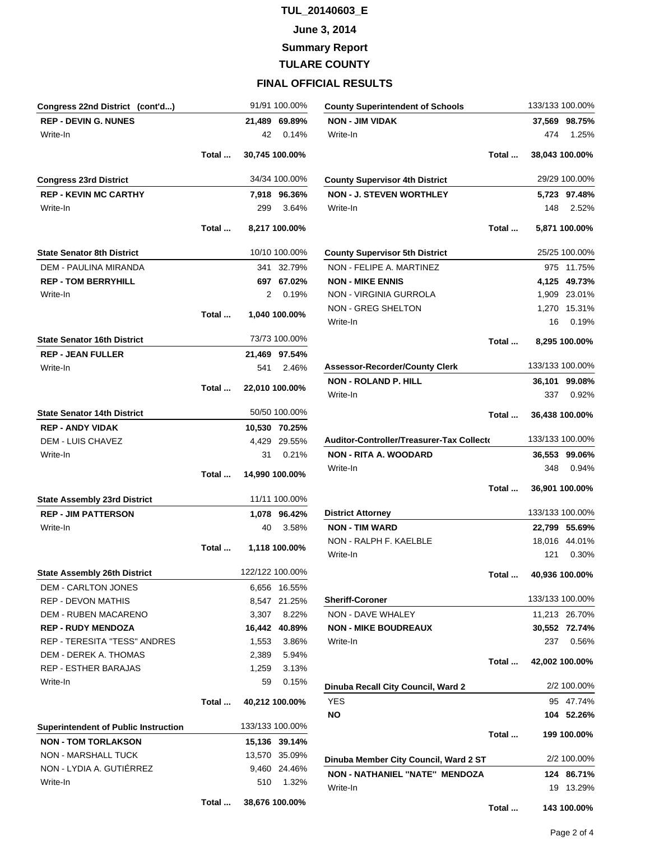#### **June 3, 2014**

**Summary Report**

## **TULARE COUNTY**

| Congress 22nd District (cont'd)             |       |                | 91/91 100.00%   |
|---------------------------------------------|-------|----------------|-----------------|
| <b>REP - DEVIN G. NUNES</b>                 |       |                | 21.489 69.89%   |
| Write-In                                    |       | 42             | 0.14%           |
|                                             | Total |                | 30,745 100.00%  |
|                                             |       |                |                 |
| <b>Congress 23rd District</b>               |       |                | 34/34 100.00%   |
| <b>REP - KEVIN MC CARTHY</b>                |       |                | 7,918 96.36%    |
| Write-In                                    |       | 299            | 3.64%           |
|                                             |       |                |                 |
|                                             | Total |                | 8,217 100.00%   |
| <b>State Senator 8th District</b>           |       |                | 10/10 100.00%   |
| <b>DEM - PAULINA MIRANDA</b>                |       |                | 341 32.79%      |
| <b>REP - TOM BERRYHILL</b>                  |       |                | 697 67.02%      |
| Write-In                                    |       | 2              | 0.19%           |
|                                             | Total |                | 1,040 100.00%   |
|                                             |       |                |                 |
| <b>State Senator 16th District</b>          |       |                | 73/73 100.00%   |
| <b>REP - JEAN FULLER</b>                    |       |                | 21.469 97.54%   |
| Write-In                                    |       |                | 541 2.46%       |
|                                             |       |                |                 |
|                                             | Total |                | 22,010 100.00%  |
| <b>State Senator 14th District</b>          |       |                | 50/50 100.00%   |
| <b>REP - ANDY VIDAK</b>                     |       |                | 10,530 70.25%   |
| <b>DEM - LUIS CHAVEZ</b>                    |       |                | 4,429 29.55%    |
| Write-In                                    |       |                | 31 0.21%        |
|                                             |       |                |                 |
|                                             | Total |                | 14,990 100.00%  |
| <b>State Assembly 23rd District</b>         |       |                | 11/11 100.00%   |
| <b>REP - JIM PATTERSON</b>                  |       |                | 1,078 96.42%    |
| Write-In                                    |       | 40             | 3.58%           |
|                                             | Total |                | 1,118 100.00%   |
|                                             |       |                |                 |
| <b>State Assembly 26th District</b>         |       |                | 122/122 100.00% |
| <b>DEM - CARLTON JONES</b>                  |       |                | 6,656 16.55%    |
| <b>REP - DEVON MATHIS</b>                   |       |                | 8,547 21.25%    |
| <b>DEM - RUBEN MACARENO</b>                 |       | 3,307          | 8.22%           |
| <b>REP - RUDY MENDOZA</b>                   |       |                | 16,442 40.89%   |
| REP - TERESITA "TESS" ANDRES                |       | 1,553          | 3.86%           |
| DEM - DEREK A. THOMAS                       |       | 2,389          | 5.94%           |
| <b>REP - ESTHER BARAJAS</b>                 |       | 1,259          | 3.13%           |
| Write-In                                    |       | 59             | 0.15%           |
|                                             | Total | 40,212 100.00% |                 |
|                                             |       |                |                 |
| <b>Superintendent of Public Instruction</b> |       |                | 133/133 100.00% |
| <b>NON - TOM TORLAKSON</b>                  |       |                | 15,136 39.14%   |
| <b>NON - MARSHALL TUCK</b>                  |       |                | 13,570 35.09%   |
| NON - LYDIA A. GUTIÉRREZ                    |       |                | 9,460 24.46%    |
| Write-In                                    |       | 510            | 1.32%           |
|                                             |       |                |                 |

| <b>County Superintendent of Schools</b>          |       |                       | 133/133 100.00% |
|--------------------------------------------------|-------|-----------------------|-----------------|
| <b>NON - JIM VIDAK</b>                           |       |                       | 37,569 98.75%   |
| Write-In                                         |       | 474                   | 1.25%           |
|                                                  | Total |                       | 38,043 100.00%  |
| <b>County Supervisor 4th District</b>            |       |                       | 29/29 100.00%   |
| <b>NON - J. STEVEN WORTHLEY</b>                  |       |                       | 5,723 97.48%    |
| Write-In                                         |       | 148                   | 2.52%           |
|                                                  | Total |                       | 5,871 100.00%   |
| <b>County Supervisor 5th District</b>            |       |                       | 25/25 100.00%   |
| NON - FELIPE A. MARTINEZ                         |       |                       | 975 11.75%      |
| <b>NON - MIKE ENNIS</b>                          |       |                       | 4,125 49.73%    |
| <b>NON - VIRGINIA GURROLA</b>                    |       |                       | 1,909 23.01%    |
| NON - GREG SHELTON                               |       |                       | 1,270 15.31%    |
| Write-In                                         |       | 16                    | 0.19%           |
|                                                  | Total |                       | 8,295 100.00%   |
| <b>Assessor-Recorder/County Clerk</b>            |       |                       | 133/133 100.00% |
| <b>NON - ROLAND P. HILL</b>                      |       |                       | 36,101 99.08%   |
| Write-In                                         |       | 337                   | 0.92%           |
|                                                  | Total |                       | 36,438 100.00%  |
| <b>Auditor-Controller/Treasurer-Tax Collecto</b> |       |                       | 133/133 100.00% |
| <b>NON - RITA A. WOODARD</b>                     |       |                       | 36,553 99.06%   |
| Write-In                                         |       | 348                   | 0.94%           |
|                                                  |       | Total  36,901 100.00% |                 |
| <b>District Attorney</b>                         |       |                       | 133/133 100.00% |
| <b>NON - TIM WARD</b>                            |       |                       | 22,799 55.69%   |
| NON - RALPH F. KAELBLE                           |       |                       | 18,016 44.01%   |
| Write-In                                         |       |                       | 121 0.30%       |
|                                                  | Total |                       | 40,936 100.00%  |
| <b>Sheriff-Coroner</b>                           |       |                       | 133/133 100.00% |
| <b>NON - DAVE WHALEY</b>                         |       |                       | 11.213 26.70%   |
| <b>NON - MIKE BOUDREAUX</b>                      |       |                       | 30,552 72.74%   |
| Write-In                                         |       | 237                   | 0.56%           |
|                                                  | Total |                       | 42,002 100.00%  |
| Dinuba Recall City Council, Ward 2               |       |                       | 2/2 100.00%     |
| <b>YES</b>                                       |       |                       | 95 47.74%       |
| NO                                               |       |                       | 104 52.26%      |
|                                                  | Total |                       | 199 100.00%     |
| Dinuba Member City Council, Ward 2 ST            |       |                       | 2/2 100.00%     |
| <b>NON - NATHANIEL "NATE" MENDOZA</b>            |       |                       | 124 86.71%      |
| Write-In                                         |       | 19                    | 13.29%          |
|                                                  | Total |                       | 143 100.00%     |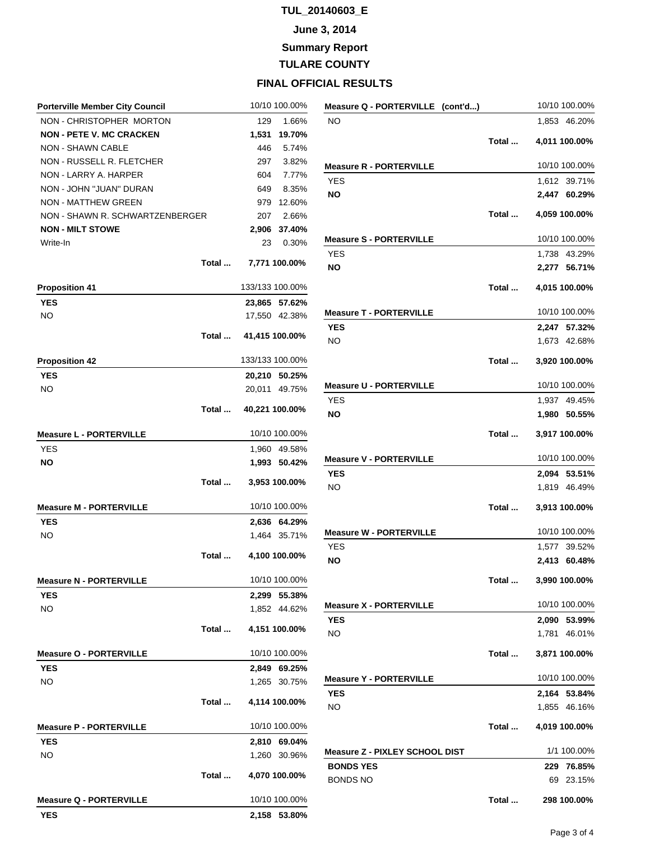## **June 3, 2014**

**Summary Report**

**TULARE COUNTY**

| <b>Porterville Member City Council</b> |       |                 | 10/10 100.00%  |
|----------------------------------------|-------|-----------------|----------------|
| NON - CHRISTOPHER MORTON               |       | 129             | 1.66%          |
| <b>NON - PETE V. MC CRACKEN</b>        |       | 1,531           | 19.70%         |
| <b>NON - SHAWN CABLE</b>               |       | 446             | 5.74%          |
| NON - RUSSELL R. FLETCHER              |       | 297             | 3.82%          |
| NON - LARRY A. HARPER                  |       |                 | 604 7.77%      |
| NON - JOHN "JUAN" DURAN                |       | 649             | 8.35%          |
| <b>NON - MATTHEW GREEN</b>             |       | 979             | 12.60%         |
| NON - SHAWN R. SCHWARTZENBERGER        |       | 207             | 2.66%          |
| <b>NON - MILT STOWE</b>                |       | 2,906           | 37.40%         |
| Write-In                               |       | 23              | 0.30%          |
|                                        | Total |                 | 7,771 100.00%  |
| <b>Proposition 41</b>                  |       | 133/133 100.00% |                |
| <b>YES</b>                             |       |                 | 23,865 57.62%  |
| NO.                                    |       |                 | 17,550 42.38%  |
|                                        |       |                 |                |
|                                        | Total |                 | 41,415 100.00% |
| <b>Proposition 42</b>                  |       | 133/133 100.00% |                |
| <b>YES</b>                             |       |                 | 20,210 50.25%  |
| NO.                                    |       |                 | 20,011 49.75%  |
|                                        | Total |                 | 40,221 100.00% |
|                                        |       |                 |                |
| <b>Measure L - PORTERVILLE</b>         |       |                 | 10/10 100.00%  |
| <b>YES</b>                             |       |                 | 1,960 49.58%   |
| ΝO                                     |       |                 | 1,993 50.42%   |
|                                        | Total |                 | 3,953 100.00%  |
| <b>Measure M - PORTERVILLE</b>         |       |                 | 10/10 100.00%  |
| <b>YES</b>                             |       |                 | 2.636 64.29%   |
| NO.                                    |       |                 | 1,464 35.71%   |
|                                        | Total |                 | 4,100 100.00%  |
| <b>Measure N - PORTERVILLE</b>         |       |                 | 10/10 100.00%  |
| <b>YES</b>                             |       | 2,299           | 55.38%         |
| NO                                     |       |                 | 1,852 44.62%   |
|                                        | Total |                 | 4,151 100.00%  |
| <b>Measure O - PORTERVILLE</b>         |       |                 | 10/10 100.00%  |
| <b>YES</b>                             |       |                 | 2,849 69.25%   |
| NO                                     |       |                 | 1,265 30.75%   |
|                                        | Total |                 | 4,114 100.00%  |
| <b>Measure P - PORTERVILLE</b>         |       |                 | 10/10 100.00%  |
| <b>YES</b>                             |       | 2,810           | 69.04%         |
| NO                                     |       | 1,260           | 30.96%         |
|                                        | Total |                 | 4,070 100.00%  |
| <b>Measure Q - PORTERVILLE</b>         |       |                 | 10/10 100.00%  |
| YES                                    |       |                 | 2,158 53.80%   |

| Measure Q - PORTERVILLE (cont'd)      |       | 10/10 100.00%  |
|---------------------------------------|-------|----------------|
| <b>NO</b>                             |       | 1,853 46.20%   |
|                                       | Total | 4,011 100.00%  |
|                                       |       |                |
| <b>Measure R - PORTERVILLE</b>        |       | 10/10 100.00%  |
| <b>YES</b>                            |       | 1,612 39.71%   |
| <b>NO</b>                             |       | 2,447 60.29%   |
|                                       | Total | 4,059 100.00%  |
| <b>Measure S - PORTERVILLE</b>        |       | 10/10 100.00%  |
| <b>YES</b>                            |       | 1,738 43.29%   |
| ΝO                                    |       | 2,277 56.71%   |
|                                       | Total | 4,015 100.00%  |
| <b>Measure T - PORTERVILLE</b>        |       | 10/10 100.00%  |
| <b>YES</b>                            |       | 2,247 57.32%   |
| <b>NO</b>                             |       | 1,673 42.68%   |
|                                       |       |                |
|                                       | Total | 3,920 100.00%  |
| <b>Measure U - PORTERVILLE</b>        |       | 10/10 100.00%  |
| <b>YES</b>                            |       | 1,937 49.45%   |
| NO                                    |       | 1,980 50.55%   |
|                                       | Total | 3,917 100.00%  |
| <b>Measure V - PORTERVILLE</b>        |       | 10/10 100.00%  |
| <b>YES</b>                            |       | 2,094 53.51%   |
| <b>NO</b>                             |       | 1,819 46.49%   |
|                                       | Total | 3,913 100.00%  |
| <b>Measure W - PORTERVILLE</b>        |       | 10/10 100.00%  |
| <b>YES</b>                            |       | 1,577 39.52%   |
| <b>NO</b>                             |       | 2,413 60.48%   |
|                                       | Total | 3,990 100.00%  |
| <b>Measure X - PORTERVILLE</b>        |       | 10/10 100.00%  |
| <b>YES</b>                            |       | 2,090 53.99%   |
| NO.                                   |       | 1,781 46.01%   |
|                                       | Total | 3,871 100.00%  |
|                                       |       |                |
| <b>Measure Y - PORTERVILLE</b>        |       | 10/10 100.00%  |
| YES                                   |       | 2,164 53.84%   |
| NO.                                   |       | 1,855 46.16%   |
|                                       | Total | 4,019 100.00%  |
| <b>Measure Z - PIXLEY SCHOOL DIST</b> |       | 1/1 100.00%    |
| <b>BONDS YES</b>                      |       | 229<br>76.85%  |
| <b>BONDS NO</b>                       |       | 23.15%<br>69 - |
|                                       | Total | 298 100.00%    |
|                                       |       |                |